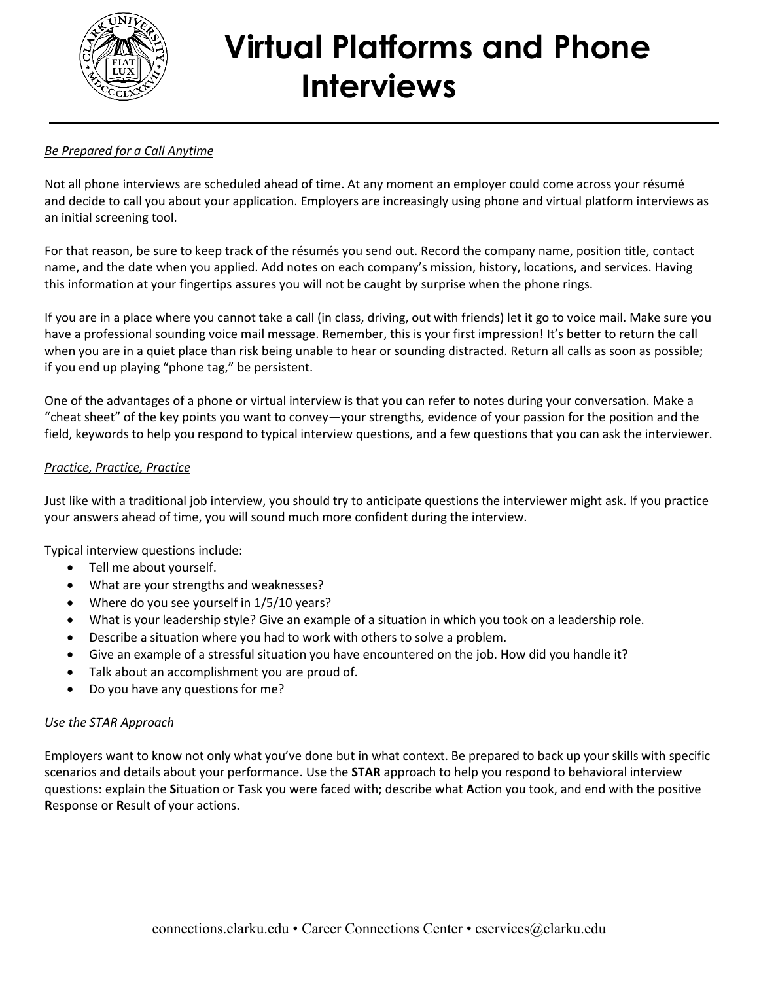

# **Virtual Platforms and Phone Interviews**

## *Be Prepared for a Call Anytime*

Not all phone interviews are scheduled ahead of time. At any moment an employer could come across your résumé and decide to call you about your application. Employers are increasingly using phone and virtual platform interviews as an initial screening tool.

For that reason, be sure to keep [track of the résumés you send out.](http://newgradlife.blogspot.com/2009/12/how-to-mass-customize-your-job-search_04.html) Record the company name, position title, contact name, and the date when you applied. Add notes on each company's mission, history, locations, and services. Having this information at your fingertips assures you will not be caught by surprise when the phone rings.

If you are in a place where you cannot take a call (in class, driving, out with friends) let it go to voice mail. Make sure you have a professional sounding voice mail message. Remember, this is your first impression! It's better to return the call when you are in a quiet place than risk being unable to hear or sounding distracted. Return all calls as soon as possible; if you end up playing "phone tag," be persistent.

One of the advantages of a phone or virtual interview is that you can refer to notes during your conversation. Make a "cheat sheet" of the key points you want to convey—your strengths, evidence of your passion for the position and the field, keywords to help you respond to typical interview questions, and a few questions that you can ask the interviewer.

#### *Practice, Practice, Practice*

Just like with a traditional job interview, you should try to anticipate questions the interviewer might ask. If you practice your answers ahead of time, you will sound much more confident during the interview.

Typical interview questions include:

- Tell me about yourself.
- What are your strengths and weaknesses?
- Where do you see yourself in 1/5/10 years?
- What is your leadership style? Give an example of a situation in which you took on a leadership role.
- Describe a situation where you had to work with others to solve a problem.
- Give an example of a stressful situation you have encountered on the job. How did you handle it?
- Talk about an accomplishment you are proud of.
- Do you have any questions for me?

#### *Use the STAR Approach*

Employers want to know not only what you've done but in what context. Be prepared to back up your skills with specific scenarios and details about your performance. Use the **STAR** approach to help you respond to behavioral interview questions: explain the **S**ituation or **T**ask you were faced with; describe what **A**ction you took, and end with the positive **R**esponse or **R**esult of your actions.